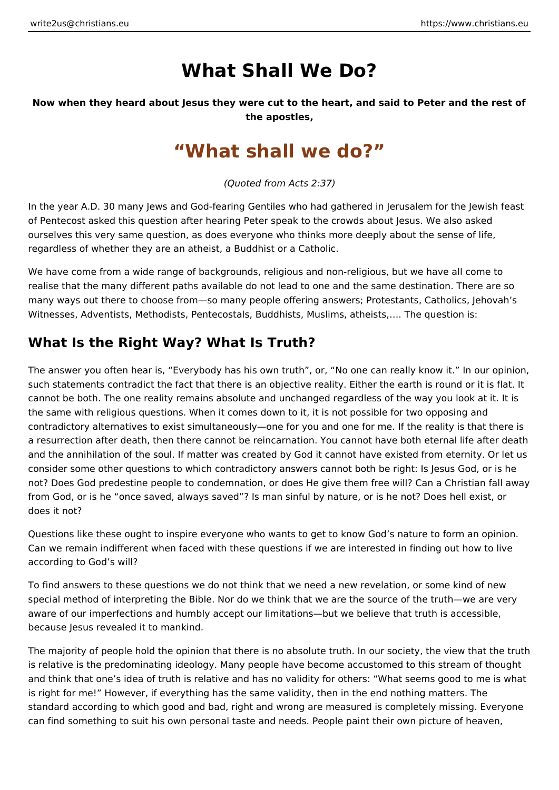# **What Shall We Do?**

**Now when they heard about Jesus they were cut to the heart, and said to Peter and the rest of the apostles,**

## **"What shall we do?"**

*(Quoted from Acts 2:37)*

In the year A.D. 30 many Jews and God-fearing Gentiles who had gathered in Jerusalem for the Jewish feast of Pentecost asked this question after hearing Peter speak to the crowds about Jesus. We also asked ourselves this very same question, as does everyone who thinks more deeply about the sense of life, regardless of whether they are an atheist, a Buddhist or a Catholic.

We have come from a wide range of backgrounds, religious and non-religious, but we have all come to realise that the many different paths available do not lead to one and the same destination. There are so many ways out there to choose from—so many people offering answers; Protestants, Catholics, Jehovah's Witnesses, Adventists, Methodists, Pentecostals, Buddhists, Muslims, atheists,…. The question is:

### **What Is the Right Way? What Is Truth?**

The answer you often hear is, "Everybody has his own truth", or, "No one can really know it." In our opinion, such statements contradict the fact that there is an objective reality. Either the earth is round or it is flat. It cannot be both. The one reality remains absolute and unchanged regardless of the way you look at it. It is the same with religious questions. When it comes down to it, it is not possible for two opposing and contradictory alternatives to exist simultaneously—one for you and one for me. If the reality is that there is a resurrection after death, then there cannot be reincarnation. You cannot have both eternal life after death and the annihilation of the soul. If matter was created by God it cannot have existed from eternity. Or let us consider some other questions to which contradictory answers cannot both be right: Is Jesus God, or is he not? Does God predestine people to condemnation, or does He give them free will? Can a Christian fall away from God, or is he "once saved, always saved"? Is man sinful by nature, or is he not? Does hell exist, or does it not?

Questions like these ought to inspire everyone who wants to get to know God's nature to form an opinion. Can we remain indifferent when faced with these questions if we are interested in finding out how to live according to God's will?

To find answers to these questions we do not think that we need a new revelation, or some kind of new special method of interpreting the Bible. Nor do we think that we are the source of the truth—we are very aware of our imperfections and humbly accept our limitations—but we believe that truth is accessible, because Jesus revealed it to mankind.

The majority of people hold the opinion that there is no absolute truth. In our society, the view that the truth is relative is the predominating ideology. Many people have become accustomed to this stream of thought and think that one's idea of truth is relative and has no validity for others: "What seems good to me is what is right for me!" However, if everything has the same validity, then in the end nothing matters. The standard according to which good and bad, right and wrong are measured is completely missing. Everyone can find something to suit his own personal taste and needs. People paint their own picture of heaven,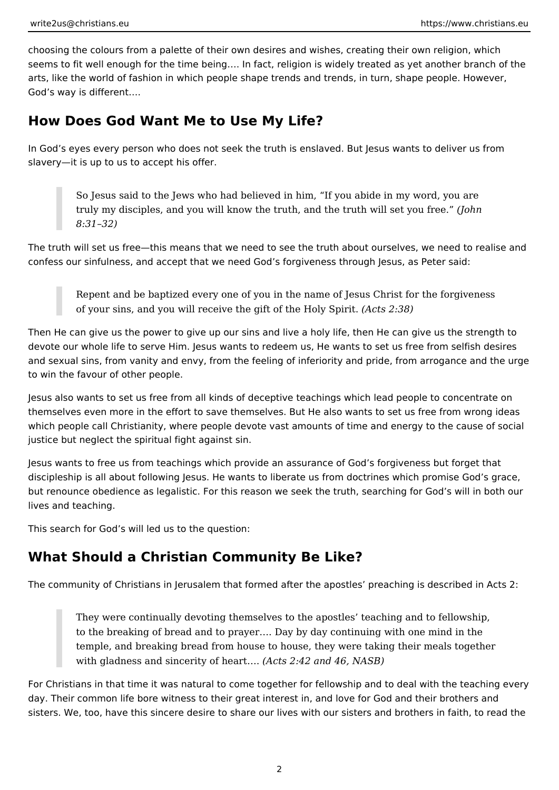choosing the colours from a palette of their own desires and wishes, creating their own religion, which seems to fit well enough for the time being…. In fact, religion is widely treated as yet another branch of the arts, like the world of fashion in which people shape trends and trends, in turn, shape people. However, God's way is different….

#### **How Does God Want Me to Use My Life?**

In God's eyes every person who does not seek the truth is enslaved. But Jesus wants to deliver us from slavery—it is up to us to accept his offer.

So Jesus said to the Jews who had believed in him, "If you abide in my word, you are truly my disciples, and you will know the truth, and the truth will set you free." *(John 8:31–32)*

The truth will set us free—this means that we need to see the truth about ourselves, we need to realise and confess our sinfulness, and accept that we need God's forgiveness through Jesus, as Peter said:

Repent and be baptized every one of you in the name of Jesus Christ for the forgiveness of your sins, and you will receive the gift of the Holy Spirit. *(Acts 2:38)*

Then He can give us the power to give up our sins and live a holy life, then He can give us the strength to devote our whole life to serve Him. Jesus wants to redeem us, He wants to set us free from selfish desires and sexual sins, from vanity and envy, from the feeling of inferiority and pride, from arrogance and the urge to win the favour of other people.

Jesus also wants to set us free from all kinds of deceptive teachings which lead people to concentrate on themselves even more in the effort to save themselves. But He also wants to set us free from wrong ideas which people call Christianity, where people devote vast amounts of time and energy to the cause of social justice but neglect the spiritual fight against sin.

Jesus wants to free us from teachings which provide an assurance of God's forgiveness but forget that discipleship is all about following Jesus. He wants to liberate us from doctrines which promise God's grace, but renounce obedience as legalistic. For this reason we seek the truth, searching for God's will in both our lives and teaching.

This search for God's will led us to the question:

### **What Should a Christian Community Be Like?**

The community of Christians in Jerusalem that formed after the apostles' preaching is described in Acts 2:

They were continually devoting themselves to the apostles' teaching and to fellowship, to the breaking of bread and to prayer…. Day by day continuing with one mind in the temple, and breaking bread from house to house, they were taking their meals together with gladness and sincerity of heart…. *(Acts 2:42 and 46, NASB)*

For Christians in that time it was natural to come together for fellowship and to deal with the teaching every day. Their common life bore witness to their great interest in, and love for God and their brothers and sisters. We, too, have this sincere desire to share our lives with our sisters and brothers in faith, to read the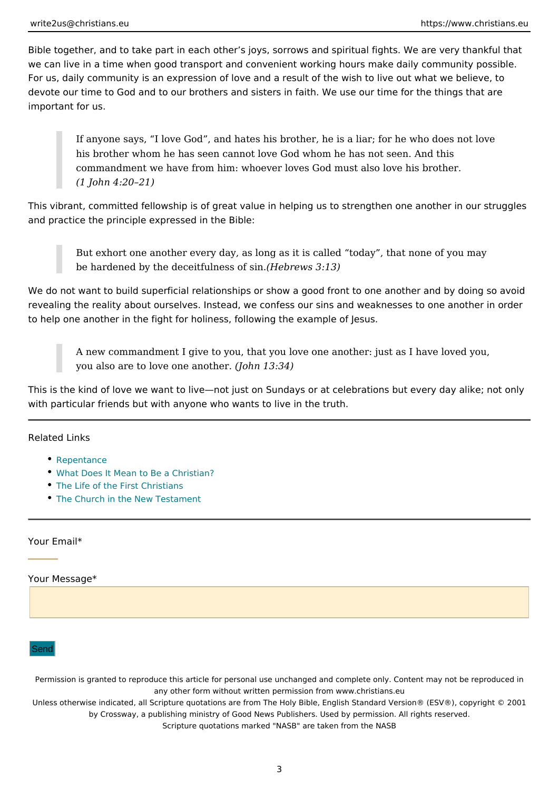Bible together, and to take part in each other s joys, sorrows and spiritual fight we can live in a time when good transport and convenient working hours make da For us, daily community is an expression of love and a result of the wish to live devote our time to God and to our brothers and sisters in faith. We use our time important for us.

If anyone says, I love God, and hates his brother, he is a liar; for he his brother whom he has seen cannot love God whom he has not seen. A commandment we have from him: whoever loves God must also love his (1 John 4:20 21)

This vibrant, committed fellowship is of great value in helping us to strengthen  $\alpha$ and practice the principle expressed in the Bible:

But exhort one another every day, as long as it is called today, that n be hardened by the deceitful  $h$  be sin. (13)

We do not want to build superficial relationships or show a good front to one and revealing the reality about ourselves. Instead, we confess our sins and weaknes to help one another in the fight for holiness, following the example of Jesus.

A new commandment I give to you, that you love one another: just as I I you also are to love one  $\lambda$  another here.  $34)$ 

This is the kind of love we want to live not just on Sundays or at celebrations but with particular friends but with anyone who wants to live in the truth.

Related Links

- [Repenta](https://www.christians.eu/repentance/)nce
- [What Does It Mean to Be a](https://www.christians.eu/what-does-it-mean-to-be-a-christian/) Christian?
- [The Life of the First](https://www.christians.eu/firstchristians/) Christians
- [The Church in the New T](https://www.christians.eu/church-new-testament/)estament

Your Email\*

Your Message\*

#### Send

Permission is granted to reproduce this article for personal use unchanged and complete only. Co any other form without written permission from www.christians.eu

Unless otherwise indicated, all Scripture quotations are from The Holy Bible, English Standard Ve by Crossway, a publishing ministry of Good News Publishers. Used by permission. All r Scripture quotations marked "NASB" are taken from the NASB